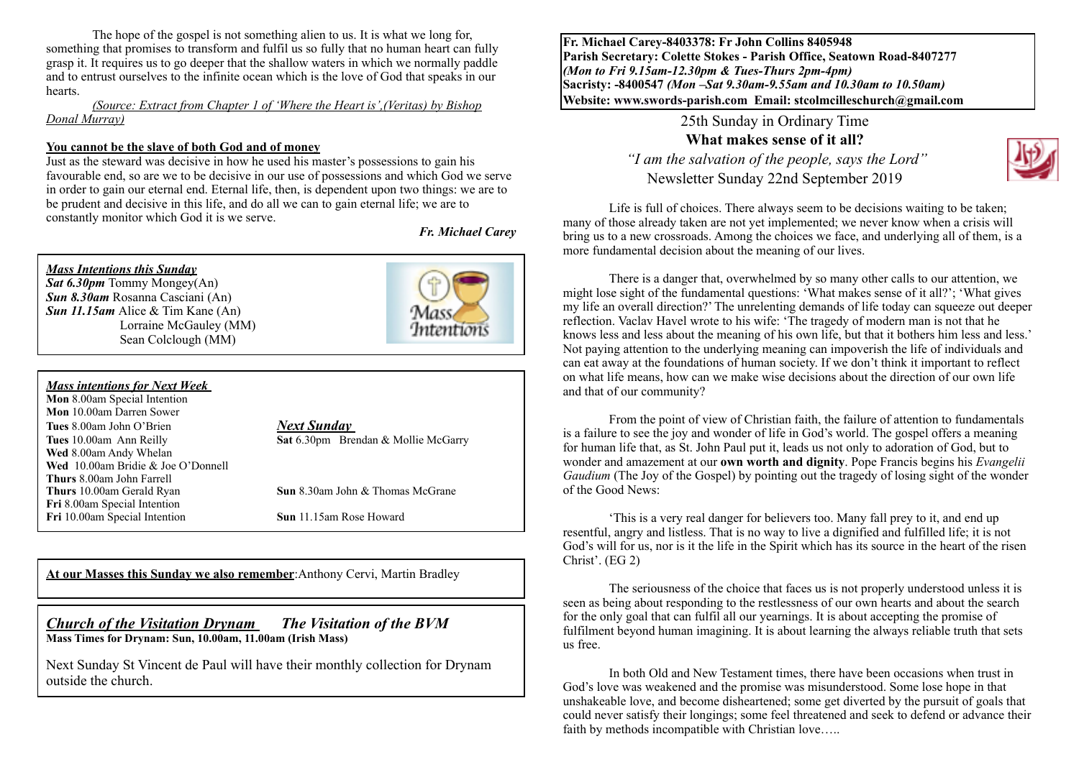The hope of the gospel is not something alien to us. It is what we long for, something that promises to transform and fulfil us so fully that no human heart can fully grasp it. It requires us to go deeper that the shallow waters in which we normally paddle and to entrust ourselves to the infinite ocean which is the love of God that speaks in our hearts.

#### *(Source: Extract from Chapter 1 of 'Where the Heart is',(Veritas) by Bishop Donal Murray)*

#### **You cannot be the slave of both God and of money**

Just as the steward was decisive in how he used his master's possessions to gain his favourable end, so are we to be decisive in our use of possessions and which God we serve in order to gain our eternal end. Eternal life, then, is dependent upon two things: we are to be prudent and decisive in this life, and do all we can to gain eternal life; we are to constantly monitor which God it is we serve.

*Fr. Michael Carey*

# *Mass Intentions this Sunday*

*Sat 6.30pm* Tommy Mongey(An) *Sun 8.30am* Rosanna Casciani (An) *Sun 11.15am* Alice & Tim Kane (An) Lorraine McGauley (MM) Sean Colclough (MM)



#### *Mass intentions for Next Week*

**Mon** 8.00am Special Intention **Mon** 10.00am Darren Sower **Tues** 8.00am John O'Brien *Next Sunday*  **Wed** 8.00am Andy Whelan **Wed** 10.00am Bridie & Joe O'Donnell **Thurs** 8.00am John Farrell **Thurs** 10.00am Gerald Ryan **Sun** 8.30am John & Thomas McGrane **Fri** 8.00am Special Intention **Fri** 10.00am Special Intention **Sun** 11.15am Rose Howard

**Tues** 10.00am Ann Reilly **Sat** 6.30pm Brendan & Mollie McGarry

**At our Masses this Sunday we also remember**:Anthony Cervi, Martin Bradley

### *Church of the Visitation Drynam**The Visitation of the BVM* **Mass Times for Drynam: Sun, 10.00am, 11.00am (Irish Mass)**

Next Sunday St Vincent de Paul will have their monthly collection for Drynam outside the church.

**Fr. Michael Carey-8403378: Fr John Collins 8405948 Parish Secretary: Colette Stokes - Parish Office, Seatown Road-8407277**  *(Mon to Fri 9.15am-12.30pm & Tues-Thurs 2pm-4pm)*  **Sacristy: -8400547** *(Mon –Sat 9.30am-9.55am and 10.30am to 10.50am)* **Website: [www.swords-parish.com Email:](http://www.swords-parish.com%20%20email) stcolmcilleschurch@gmail.com**

> 25th Sunday in Ordinary Time **What makes sense of it all?**

 *"I am the salvation of the people, says the Lord"*  Newsletter Sunday 22nd September 2019



Life is full of choices. There always seem to be decisions waiting to be taken; many of those already taken are not yet implemented; we never know when a crisis will bring us to a new crossroads. Among the choices we face, and underlying all of them, is a more fundamental decision about the meaning of our lives.

There is a danger that, overwhelmed by so many other calls to our attention, we might lose sight of the fundamental questions: 'What makes sense of it all?'; 'What gives my life an overall direction?' The unrelenting demands of life today can squeeze out deeper reflection. Vaclav Havel wrote to his wife: 'The tragedy of modern man is not that he knows less and less about the meaning of his own life, but that it bothers him less and less.' Not paying attention to the underlying meaning can impoverish the life of individuals and can eat away at the foundations of human society. If we don't think it important to reflect on what life means, how can we make wise decisions about the direction of our own life and that of our community?

From the point of view of Christian faith, the failure of attention to fundamentals is a failure to see the joy and wonder of life in God's world. The gospel offers a meaning for human life that, as St. John Paul put it, leads us not only to adoration of God, but to wonder and amazement at our **own worth and dignity**. Pope Francis begins his *Evangelii Gaudium* (The Joy of the Gospel) by pointing out the tragedy of losing sight of the wonder of the Good News:

'This is a very real danger for believers too. Many fall prey to it, and end up resentful, angry and listless. That is no way to live a dignified and fulfilled life; it is not God's will for us, nor is it the life in the Spirit which has its source in the heart of the risen Christ'. (EG 2)

The seriousness of the choice that faces us is not properly understood unless it is seen as being about responding to the restlessness of our own hearts and about the search for the only goal that can fulfil all our yearnings. It is about accepting the promise of fulfilment beyond human imagining. It is about learning the always reliable truth that sets us free.

In both Old and New Testament times, there have been occasions when trust in God's love was weakened and the promise was misunderstood. Some lose hope in that unshakeable love, and become disheartened; some get diverted by the pursuit of goals that could never satisfy their longings; some feel threatened and seek to defend or advance their faith by methods incompatible with Christian love…..